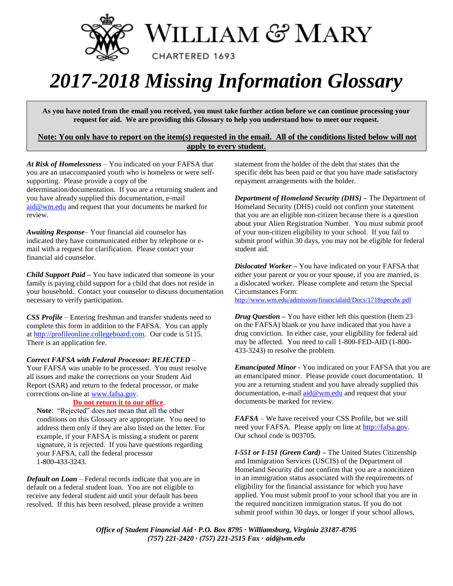

# *2017-2018 Missing Information Glossary*

**As you have noted from the email you received, you must take further action before we can continue processing your request for aid. We are providing this Glossary to help you understand how to meet our request.**

## **Note: You only have to report on the item(s) requested in the email. All of the conditions listed below will not apply to every student.**

*At Risk of Homelessness* – You indicated on your FAFSA that you are an unaccompanied youth who is homeless or were selfsupporting. Please provide a copy of the determination/documentation. If you are a returning student and you have already supplied this documentation, e-mail [aid@wm.edu](mailto:aid@wm.edu) and request that your documents be marked for review.

*Awaiting Response*– Your financial aid counselor has indicated they have communicated either by telephone or email with a request for clarification. Please contact your financial aid counselor.

*Child Support Paid –* You have indicated that someone in your family is paying child support for a child that does not reside in your household. Contact your counselor to discuss documentation necessary to verify participation.

*CSS Profile* – Entering freshman and transfer students need to complete this form in addition to the FAFSA. You can apply a[t http://profileonline.collegeboard.com.](http://profileonline.collegeboard.com/) Our code is 5115. There is an application fee.

### *Correct FAFSA with Federal Processor: REJECTED* –

Your FAFSA was unable to be processed. You must resolve all issues and make the corrections on your Student Aid Report (SAR) and return to the federal processor, or make corrections on-line at [www.fafsa.gov.](http://www.fafsa.gov/)

## **Do not return it to our office**.

**Note**: "Rejected" does not mean that all the other conditions on this Glossary are appropriate. You need to address them only if they are also listed on the letter. For example, if your FAFSA is missing a student or parent signature, it is rejected. If you have questions regarding your FAFSA, call the federal processor 1-800-433-3243.

*Default on Loan* – Federal records indicate that you are in default on a federal student loan. You are not eligible to receive any federal student aid until your default has been resolved. If this has been resolved, please provide a written

statement from the holder of the debt that states that the specific debt has been paid or that you have made satisfactory repayment arrangements with the holder.

*Department of Homeland Security (DHS) –* The Department of Homeland Security (DHS) could not confirm your statement that you are an eligible non-citizen because there is a question about your Alien Registration Number. You must submit proof of your non-citizen eligibility to your school. If you fail to submit proof within 30 days, you may not be eligible for federal student aid.

*Dislocated Worker –* You have indicated on your FAFSA that either your parent or you or your spouse, if you are married, is a dislocated worker. Please complete and return the Special Circumstances Form: <http://www.wm.edu/admission/financialaid/Docs/1718specdw.pdf>

*Drug Question –* You have either left this question (Item 23 on the FAFSA) blank or you have indicated that you have a drug conviction. In either case, your eligibility for federal aid may be affected. You need to call 1-800-FED-AID (1-800- 433-3243) to resolve the problem.

*Emancipated Minor -* You indicated on your FAFSA that you are an emancipated minor. Please provide court documentation. If you are a returning student and you have already supplied this documentation, e-mai[l aid@wm.edu](mailto:aid@wm.edu) and request that your documents be marked for review.

*FAFSA* – We have received your CSS Profile, but we still need your FAFSA. Please apply on line at [http://fafsa.gov.](http://fafsa.gov/)  Our school code is 003705.

*I-551 or I-151 (Green Card) –* The United States Citizenship and Immigration Services (USCIS) of the Department of Homeland Security did not confirm that you are a noncitizen in an immigration status associated with the requirements of eligibility for the financial assistance for which you have applied. You must submit proof to your school that you are in the required noncitizen immigration status. If you do not submit proof within 30 days, or longer if your school allows,

*Office of Student Financial Aid · P.O. Box 8795 · Williamsburg, Virginia 23187-8795 (757) 221-2420 · (757) 221-2515 Fax* **·** *aid@wm.edu*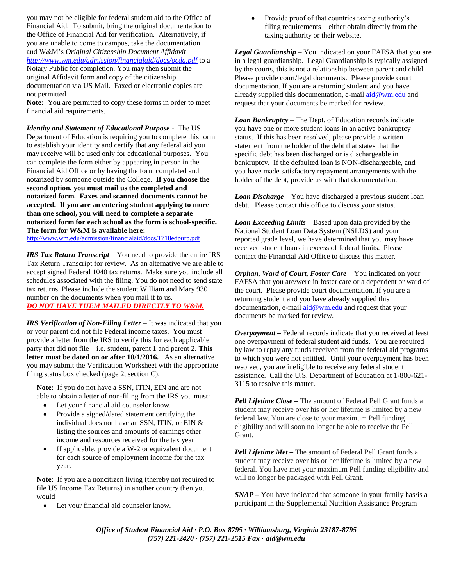you may not be eligible for federal student aid to the Office of Financial Aid. To submit, bring the original documentation to the Office of Financial Aid for verification. Alternatively, if you are unable to come to campus, take the documentation and W&M's *Original Citizenship Document Affidavit <http://www.wm.edu/admission/financialaid/docs/ocda.pdf>* to a Notary Public for completion. You may then submit the original Affidavit form and copy of the citizenship documentation via US Mail. Faxed or electronic copies are not permitted

Note: You are permitted to copy these forms in order to meet financial aid requirements.

*Identity and Statement of Educational Purpose -* The US Department of Education is requiring you to complete this form to establish your identity and certify that any federal aid you may receive will be used only for educational purposes. You can complete the form either by appearing in person in the Financial Aid Office or by having the form completed and notarized by someone outside the College. **If you choose the second option, you must mail us the completed and notarized form. Faxes and scanned documents cannot be accepted. If you are an entering student applying to more than one school, you will need to complete a separate notarized form for each school as the form is school-specific. The form for W&M is available here:** 

<http://www.wm.edu/admission/financialaid/docs/1718edpurp.pdf>

*IRS Tax Return Transcript* – You need to provide the entire IRS Tax Return Transcript for review. As an alternative we are able to accept signed Federal 1040 tax returns. Make sure you include all schedules associated with the filing. You do not need to send state tax returns. Please include the student William and Mary 930 number on the documents when you mail it to us. *DO NOT HAVE THEM MAILED DIRECTLY TO W&M.*

*IRS Verification of Non-Filing Letter* – It was indicated that you or your parent did not file Federal income taxes. You must provide a letter from the IRS to verify this for each applicable party that did not file – i.e. student, parent 1 and parent 2. **This letter must be dated on or after 10/1/2016.** As an alternative you may submit the Verification Worksheet with the appropriate filing status box checked (page 2, section C).

**Note**: If you do not have a SSN, ITIN, EIN and are not able to obtain a letter of non-filing from the IRS you must:

- Let your financial aid counselor know.
- Provide a signed/dated statement certifying the individual does not have an SSN, ITIN, or EIN & listing the sources and amounts of earnings other income and resources received for the tax year
- If applicable, provide a W-2 or equivalent document for each source of employment income for the tax year.

**Note**: If you are a noncitizen living (thereby not required to file US Income Tax Returns) in another country then you would

Let your financial aid counselor know.

 Provide proof of that countries taxing authority's filing requirements – either obtain directly from the taxing authority or their website.

*Legal Guardianship* – You indicated on your FAFSA that you are in a legal guardianship. Legal Guardianship is typically assigned by the courts, this is not a relationship between parent and child. Please provide court/legal documents. Please provide court documentation. If you are a returning student and you have already supplied this documentation, e-mail [aid@wm.edu](mailto:aid@wm.edu) and request that your documents be marked for review.

*Loan Bankruptcy* – The Dept. of Education records indicate you have one or more student loans in an active bankruptcy status. If this has been resolved, please provide a written statement from the holder of the debt that states that the specific debt has been discharged or is dischargeable in bankruptcy. If the defaulted loan is NON-dischargeable, and you have made satisfactory repayment arrangements with the holder of the debt, provide us with that documentation.

*Loan Discharge* – You have discharged a previous student loan debt. Please contact this office to discuss your status.

*Loan Exceeding Limits –* Based upon data provided by the National Student Loan Data System (NSLDS) and your reported grade level, we have determined that you may have received student loans in excess of federal limits. Please contact the Financial Aid Office to discuss this matter.

*Orphan, Ward of Court, Foster Care* – You indicated on your FAFSA that you are/were in foster care or a dependent or ward of the court. Please provide court documentation. If you are a returning student and you have already supplied this documentation, e-mai[l aid@wm.edu](mailto:aid@wm.edu) and request that your documents be marked for review.

*Overpayment –* Federal records indicate that you received at least one overpayment of federal student aid funds. You are required by law to repay any funds received from the federal aid programs to which you were not entitled. Until your overpayment has been resolved, you are ineligible to receive any federal student assistance. Call the U.S. Department of Education at 1-800-621- 3115 to resolve this matter.

*Pell Lifetime Close –* The amount of Federal Pell Grant funds a student may receive over his or her lifetime is limited by a new federal law. You are close to your maximum Pell funding eligibility and will soon no longer be able to receive the Pell Grant.

*Pell Lifetime Met –* The amount of Federal Pell Grant funds a student may receive over his or her lifetime is limited by a new federal. You have met your maximum Pell funding eligibility and will no longer be packaged with Pell Grant.

*SNAP –* You have indicated that someone in your family has/is a participant in the Supplemental Nutrition Assistance Program

*Office of Student Financial Aid · P.O. Box 8795 · Williamsburg, Virginia 23187-8795 (757) 221-2420 · (757) 221-2515 Fax* **·** *aid@wm.edu*